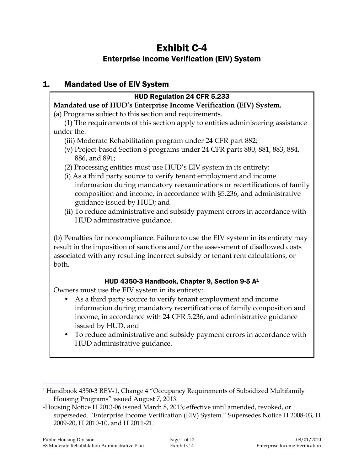# Exhibit C-4 Enterprise Income Verification (EIV) System

### 1. Mandated Use of EIV System

### HUD Regulation 24 CFR 5.233

#### **Mandated use of HUD's Enterprise Income Verification (EIV) System.**

(a) Programs subject to this section and requirements.

(1) The requirements of this section apply to entities administering assistance under the:

- (iii) Moderate Rehabilitation program under 24 CFR part 882;
- (v) Project-based Section 8 programs under 24 CFR parts 880, 881, 883, 884, 886, and 891;
- (2) Processing entities must use HUD's EIV system in its entirety:
- (i) As a third party source to verify tenant employment and income information during mandatory reexaminations or recertifications of family composition and income, in accordance with §5.236, and administrative guidance issued by HUD; and
- (ii) To reduce administrative and subsidy payment errors in accordance with HUD administrative guidance.

(b) Penalties for noncompliance. Failure to use the EIV system in its entirety may result in the imposition of sanctions and/or the assessment of disallowed costs associated with any resulting incorrect subsidy or tenant rent calculations, or both.

### HUD 4350-3 Handbook, Chapter 9, Section 9-5 A<sup>1</sup>

Owners must use the EIV system in its entirety:

- As a third party source to verify tenant employment and income information during mandatory recertifications of family composition and income, in accordance with 24 CFR 5.236, and administrative guidance issued by HUD, and
- To reduce administrative and subsidy payment errors in accordance with HUD administrative guidance.

j

<sup>1</sup> Handbook 4350-3 REV-1, Change 4 "Occupancy Requirements of Subsidized Multifamily Housing Programs" issued August 7, 2013.

<sup>-</sup>Housing Notice H 2013-06 issued March 8, 2013; effective until amended, revoked, or superseded. "Enterprise Income Verification (EIV) System." Supersedes Notice H 2008-03, H 2009-20, H 2010-10, and H 2011-21.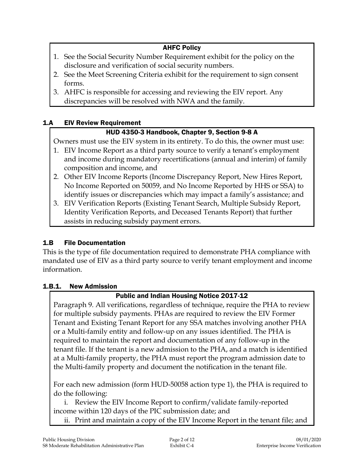### AHFC Policy

- 1. See the Social Security Number Requirement exhibit for the policy on the disclosure and verification of social security numbers.
- 2. See the Meet Screening Criteria exhibit for the requirement to sign consent forms.
- 3. AHFC is responsible for accessing and reviewing the EIV report. Any discrepancies will be resolved with NWA and the family.

### 1.A EIV Review Requirement

### HUD 4350-3 Handbook, Chapter 9, Section 9-8 A

Owners must use the EIV system in its entirety. To do this, the owner must use:

- 1. EIV Income Report as a third party source to verify a tenant's employment and income during mandatory recertifications (annual and interim) of family composition and income, and
- 2. Other EIV Income Reports (Income Discrepancy Report, New Hires Report, No Income Reported on 50059, and No Income Reported by HHS or SSA) to identify issues or discrepancies which may impact a family's assistance; and
- 3. EIV Verification Reports (Existing Tenant Search, Multiple Subsidy Report, Identity Verification Reports, and Deceased Tenants Report) that further assists in reducing subsidy payment errors.

### 1.B File Documentation

This is the type of file documentation required to demonstrate PHA compliance with mandated use of EIV as a third party source to verify tenant employment and income information.

### 1.B.1. New Admission

### Public and Indian Housing Notice 2017-12

Paragraph 9. All verifications, regardless of technique, require the PHA to review for multiple subsidy payments. PHAs are required to review the EIV Former Tenant and Existing Tenant Report for any SSA matches involving another PHA or a Multi-family entity and follow-up on any issues identified. The PHA is required to maintain the report and documentation of any follow-up in the tenant file. If the tenant is a new admission to the PHA, and a match is identified at a Multi-family property, the PHA must report the program admission date to the Multi-family property and document the notification in the tenant file.

For each new admission (form HUD-50058 action type 1), the PHA is required to do the following:

i. Review the EIV Income Report to confirm/validate family-reported income within 120 days of the PIC submission date; and

ii. Print and maintain a copy of the EIV Income Report in the tenant file; and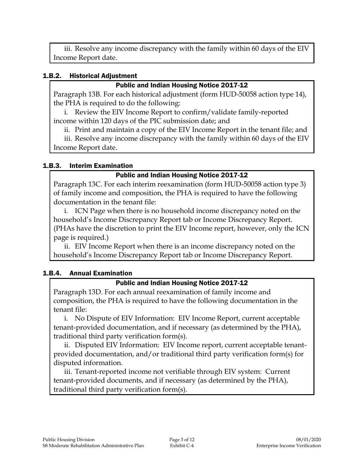iii. Resolve any income discrepancy with the family within 60 days of the EIV Income Report date.

#### 1.B.2. Historical Adjustment

#### Public and Indian Housing Notice 2017-12

Paragraph 13B. For each historical adjustment (form HUD-50058 action type 14), the PHA is required to do the following:

i. Review the EIV Income Report to confirm/validate family-reported income within 120 days of the PIC submission date; and

ii. Print and maintain a copy of the EIV Income Report in the tenant file; and

iii. Resolve any income discrepancy with the family within 60 days of the EIV Income Report date.

#### 1.B.3. Interim Examination

#### Public and Indian Housing Notice 2017-12

Paragraph 13C. For each interim reexamination (form HUD-50058 action type 3) of family income and composition, the PHA is required to have the following documentation in the tenant file:

i. ICN Page when there is no household income discrepancy noted on the household's Income Discrepancy Report tab or Income Discrepancy Report. (PHAs have the discretion to print the EIV Income report, however, only the ICN page is required.)

ii. EIV Income Report when there is an income discrepancy noted on the household's Income Discrepancy Report tab or Income Discrepancy Report.

#### 1.B.4. Annual Examination

#### Public and Indian Housing Notice 2017-12

Paragraph 13D. For each annual reexamination of family income and composition, the PHA is required to have the following documentation in the tenant file:

i. No Dispute of EIV Information: EIV Income Report, current acceptable tenant-provided documentation, and if necessary (as determined by the PHA), traditional third party verification form(s).

ii. Disputed EIV Information: EIV Income report, current acceptable tenantprovided documentation, and/or traditional third party verification form(s) for disputed information.

iii. Tenant-reported income not verifiable through EIV system: Current tenant-provided documents, and if necessary (as determined by the PHA), traditional third party verification form(s).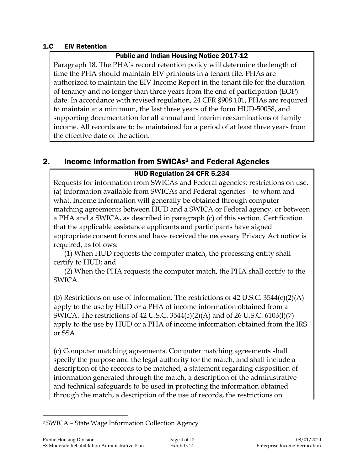#### 1.C EIV Retention

#### Public and Indian Housing Notice 2017-12

Paragraph 18. The PHA's record retention policy will determine the length of time the PHA should maintain EIV printouts in a tenant file. PHAs are authorized to maintain the EIV Income Report in the tenant file for the duration of tenancy and no longer than three years from the end of participation (EOP) date. In accordance with revised regulation, 24 CFR §908.101, PHAs are required to maintain at a minimum, the last three years of the form HUD-50058, and supporting documentation for all annual and interim reexaminations of family income. All records are to be maintained for a period of at least three years from the effective date of the action.

## 2. Income Information from SWICAs<sup>2</sup> and Federal Agencies

### HUD Regulation 24 CFR 5.234

Requests for information from SWICAs and Federal agencies; restrictions on use. (a) Information available from SWICAs and Federal agencies—to whom and what. Income information will generally be obtained through computer matching agreements between HUD and a SWICA or Federal agency, or between a PHA and a SWICA, as described in paragraph (c) of this section. Certification that the applicable assistance applicants and participants have signed appropriate consent forms and have received the necessary Privacy Act notice is required, as follows:

(1) When HUD requests the computer match, the processing entity shall certify to HUD; and

(2) When the PHA requests the computer match, the PHA shall certify to the SWICA.

(b) Restrictions on use of information. The restrictions of 42 U.S.C.  $3544(c)(2)(A)$ apply to the use by HUD or a PHA of income information obtained from a SWICA. The restrictions of 42 U.S.C. 3544(c)(2)(A) and of 26 U.S.C. 6103(l)(7) apply to the use by HUD or a PHA of income information obtained from the IRS or SSA.

(c) Computer matching agreements. Computer matching agreements shall specify the purpose and the legal authority for the match, and shall include a description of the records to be matched, a statement regarding disposition of information generated through the match, a description of the administrative and technical safeguards to be used in protecting the information obtained through the match, a description of the use of records, the restrictions on

j <sup>2</sup> SWICA – State Wage Information Collection Agency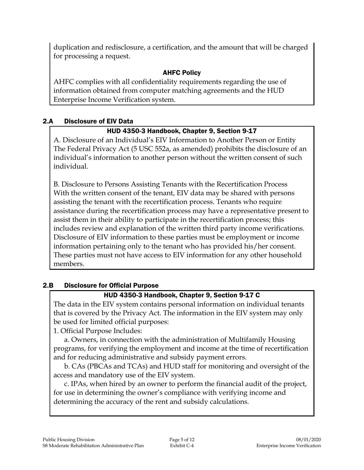duplication and redisclosure, a certification, and the amount that will be charged for processing a request.

### AHFC Policy

AHFC complies with all confidentiality requirements regarding the use of information obtained from computer matching agreements and the HUD Enterprise Income Verification system.

### 2.A Disclosure of EIV Data

### HUD 4350-3 Handbook, Chapter 9, Section 9-17

A. Disclosure of an Individual's EIV Information to Another Person or Entity The Federal Privacy Act (5 USC 552a, as amended) prohibits the disclosure of an individual's information to another person without the written consent of such individual.

B. Disclosure to Persons Assisting Tenants with the Recertification Process With the written consent of the tenant, EIV data may be shared with persons assisting the tenant with the recertification process. Tenants who require assistance during the recertification process may have a representative present to assist them in their ability to participate in the recertification process; this includes review and explanation of the written third party income verifications. Disclosure of EIV information to these parties must be employment or income information pertaining only to the tenant who has provided his/her consent. These parties must not have access to EIV information for any other household members.

### 2.B Disclosure for Official Purpose

### HUD 4350-3 Handbook, Chapter 9, Section 9-17 C

The data in the EIV system contains personal information on individual tenants that is covered by the Privacy Act. The information in the EIV system may only be used for limited official purposes:

1. Official Purpose Includes:

a. Owners, in connection with the administration of Multifamily Housing programs, for verifying the employment and income at the time of recertification and for reducing administrative and subsidy payment errors.

b. CAs (PBCAs and TCAs) and HUD staff for monitoring and oversight of the access and mandatory use of the EIV system.

c. IPAs, when hired by an owner to perform the financial audit of the project, for use in determining the owner's compliance with verifying income and determining the accuracy of the rent and subsidy calculations.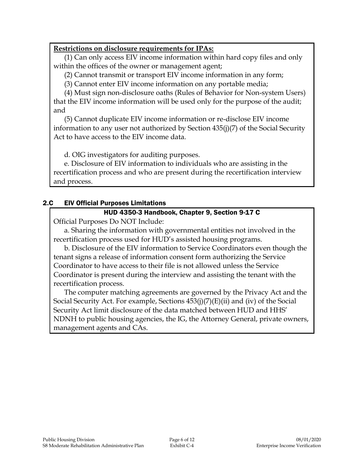#### **Restrictions on disclosure requirements for IPAs:**

(1) Can only access EIV income information within hard copy files and only within the offices of the owner or management agent;

(2) Cannot transmit or transport EIV income information in any form;

(3) Cannot enter EIV income information on any portable media;

(4) Must sign non-disclosure oaths (Rules of Behavior for Non-system Users) that the EIV income information will be used only for the purpose of the audit; and

(5) Cannot duplicate EIV income information or re-disclose EIV income information to any user not authorized by Section 435(j)(7) of the Social Security Act to have access to the EIV income data.

d. OIG investigators for auditing purposes.

e. Disclosure of EIV information to individuals who are assisting in the recertification process and who are present during the recertification interview and process.

### 2.C EIV Official Purposes Limitations

#### HUD 4350-3 Handbook, Chapter 9, Section 9-17 C

Official Purposes Do NOT Include:

a. Sharing the information with governmental entities not involved in the recertification process used for HUD's assisted housing programs.

b. Disclosure of the EIV information to Service Coordinators even though the tenant signs a release of information consent form authorizing the Service Coordinator to have access to their file is not allowed unless the Service Coordinator is present during the interview and assisting the tenant with the recertification process.

The computer matching agreements are governed by the Privacy Act and the Social Security Act. For example, Sections 453(j)(7)(E)(ii) and (iv) of the Social Security Act limit disclosure of the data matched between HUD and HHS' NDNH to public housing agencies, the IG, the Attorney General, private owners, management agents and CAs.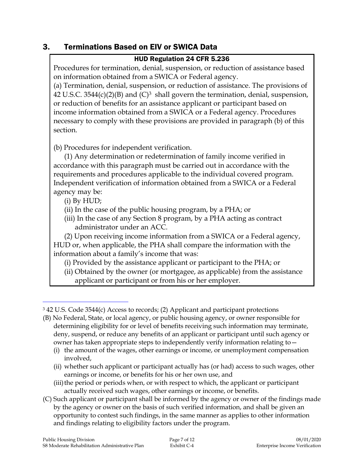### 3. Terminations Based on EIV or SWICA Data

#### HUD Regulation 24 CFR 5.236

Procedures for termination, denial, suspension, or reduction of assistance based on information obtained from a SWICA or Federal agency.

(a) Termination, denial, suspension, or reduction of assistance. The provisions of 42 U.S.C. 3544(c)(2)(B) and  $(C)^3$  shall govern the termination, denial, suspension, or reduction of benefits for an assistance applicant or participant based on income information obtained from a SWICA or a Federal agency. Procedures necessary to comply with these provisions are provided in paragraph (b) of this section.

(b) Procedures for independent verification.

(1) Any determination or redetermination of family income verified in accordance with this paragraph must be carried out in accordance with the requirements and procedures applicable to the individual covered program. Independent verification of information obtained from a SWICA or a Federal agency may be:

(i) By HUD;

 $\overline{a}$ 

- (ii) In the case of the public housing program, by a PHA; or
- (iii) In the case of any Section 8 program, by a PHA acting as contract administrator under an ACC.

(2) Upon receiving income information from a SWICA or a Federal agency, HUD or, when applicable, the PHA shall compare the information with the information about a family's income that was:

- (i) Provided by the assistance applicant or participant to the PHA; or
- (ii) Obtained by the owner (or mortgagee, as applicable) from the assistance applicant or participant or from his or her employer.

(ii) whether such applicant or participant actually has (or had) access to such wages, other earnings or income, or benefits for his or her own use, and

(C) Such applicant or participant shall be informed by the agency or owner of the findings made by the agency or owner on the basis of such verified information, and shall be given an opportunity to contest such findings, in the same manner as applies to other information and findings relating to eligibility factors under the program.

<sup>3</sup> 42 U.S. Code 3544(c) Access to records; (2) Applicant and participant protections

<sup>(</sup>B) No Federal, State, or local agency, or public housing agency, or owner responsible for determining eligibility for or level of benefits receiving such information may terminate, deny, suspend, or reduce any benefits of an applicant or participant until such agency or owner has taken appropriate steps to independently verify information relating to—

<sup>(</sup>i) the amount of the wages, other earnings or income, or unemployment compensation involved,

<sup>(</sup>iii) the period or periods when, or with respect to which, the applicant or participant actually received such wages, other earnings or income, or benefits.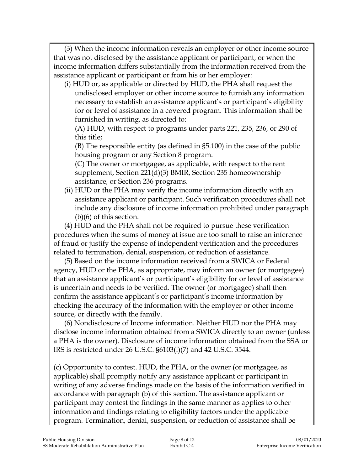(3) When the income information reveals an employer or other income source that was not disclosed by the assistance applicant or participant, or when the income information differs substantially from the information received from the assistance applicant or participant or from his or her employer:

(i) HUD or, as applicable or directed by HUD, the PHA shall request the undisclosed employer or other income source to furnish any information necessary to establish an assistance applicant's or participant's eligibility for or level of assistance in a covered program. This information shall be furnished in writing, as directed to:

(A) HUD, with respect to programs under parts 221, 235, 236, or 290 of this title;

(B) The responsible entity (as defined in §5.100) in the case of the public housing program or any Section 8 program.

(C) The owner or mortgagee, as applicable, with respect to the rent supplement, Section 221(d)(3) BMIR, Section 235 homeownership assistance, or Section 236 programs.

(ii) HUD or the PHA may verify the income information directly with an assistance applicant or participant. Such verification procedures shall not include any disclosure of income information prohibited under paragraph (b)(6) of this section.

(4) HUD and the PHA shall not be required to pursue these verification procedures when the sums of money at issue are too small to raise an inference of fraud or justify the expense of independent verification and the procedures related to termination, denial, suspension, or reduction of assistance.

(5) Based on the income information received from a SWICA or Federal agency, HUD or the PHA, as appropriate, may inform an owner (or mortgagee) that an assistance applicant's or participant's eligibility for or level of assistance is uncertain and needs to be verified. The owner (or mortgagee) shall then confirm the assistance applicant's or participant's income information by checking the accuracy of the information with the employer or other income source, or directly with the family.

(6) Nondisclosure of Income information. Neither HUD nor the PHA may disclose income information obtained from a SWICA directly to an owner (unless a PHA is the owner). Disclosure of income information obtained from the SSA or IRS is restricted under 26 U.S.C. §6103(l)(7) and 42 U.S.C. 3544.

(c) Opportunity to contest. HUD, the PHA, or the owner (or mortgagee, as applicable) shall promptly notify any assistance applicant or participant in writing of any adverse findings made on the basis of the information verified in accordance with paragraph (b) of this section. The assistance applicant or participant may contest the findings in the same manner as applies to other information and findings relating to eligibility factors under the applicable program. Termination, denial, suspension, or reduction of assistance shall be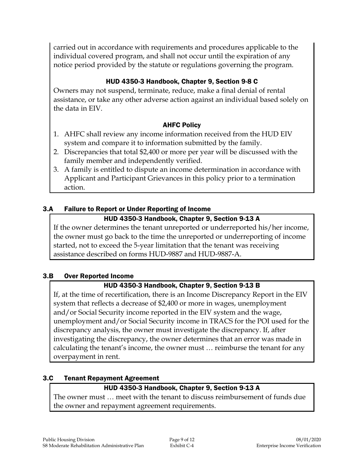carried out in accordance with requirements and procedures applicable to the individual covered program, and shall not occur until the expiration of any notice period provided by the statute or regulations governing the program.

### HUD 4350-3 Handbook, Chapter 9, Section 9-8 C

Owners may not suspend, terminate, reduce, make a final denial of rental assistance, or take any other adverse action against an individual based solely on the data in EIV.

#### AHFC Policy

- 1. AHFC shall review any income information received from the HUD EIV system and compare it to information submitted by the family.
- 2. Discrepancies that total \$2,400 or more per year will be discussed with the family member and independently verified.
- 3. A family is entitled to dispute an income determination in accordance with Applicant and Participant Grievances in this policy prior to a termination action.

### 3.A Failure to Report or Under Reporting of Income

### HUD 4350-3 Handbook, Chapter 9, Section 9-13 A

If the owner determines the tenant unreported or underreported his/her income, the owner must go back to the time the unreported or underreporting of income started, not to exceed the 5-year limitation that the tenant was receiving assistance described on forms HUD-9887 and HUD-9887-A.

#### 3.B Over Reported Income

### HUD 4350-3 Handbook, Chapter 9, Section 9-13 B

If, at the time of recertification, there is an Income Discrepancy Report in the EIV system that reflects a decrease of \$2,400 or more in wages, unemployment and/or Social Security income reported in the EIV system and the wage, unemployment and/or Social Security income in TRACS for the POI used for the discrepancy analysis, the owner must investigate the discrepancy. If, after investigating the discrepancy, the owner determines that an error was made in calculating the tenant's income, the owner must … reimburse the tenant for any overpayment in rent.

### 3.C Tenant Repayment Agreement

### HUD 4350-3 Handbook, Chapter 9, Section 9-13 A

The owner must … meet with the tenant to discuss reimbursement of funds due the owner and repayment agreement requirements.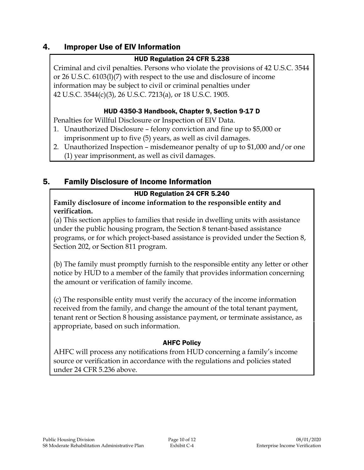### 4. Improper Use of EIV Information

#### HUD Regulation 24 CFR 5.238

Criminal and civil penalties. Persons who violate the provisions of 42 U.S.C. 3544 or 26 U.S.C. 6103(l)(7) with respect to the use and disclosure of income information may be subject to civil or criminal penalties under 42 U.S.C. 3544(c)(3), 26 U.S.C. 7213(a), or 18 U.S.C. 1905.

#### HUD 4350-3 Handbook, Chapter 9, Section 9-17 D

Penalties for Willful Disclosure or Inspection of EIV Data.

- 1. Unauthorized Disclosure felony conviction and fine up to \$5,000 or imprisonment up to five (5) years, as well as civil damages.
- 2. Unauthorized Inspection misdemeanor penalty of up to \$1,000 and/or one (1) year imprisonment, as well as civil damages.

### 5. Family Disclosure of Income Information

#### HUD Regulation 24 CFR 5.240

**Family disclosure of income information to the responsible entity and verification.**

(a) This section applies to families that reside in dwelling units with assistance under the public housing program, the Section 8 tenant-based assistance programs, or for which project-based assistance is provided under the Section 8, Section 202, or Section 811 program.

(b) The family must promptly furnish to the responsible entity any letter or other notice by HUD to a member of the family that provides information concerning the amount or verification of family income.

(c) The responsible entity must verify the accuracy of the income information received from the family, and change the amount of the total tenant payment, tenant rent or Section 8 housing assistance payment, or terminate assistance, as appropriate, based on such information.

#### AHFC Policy

AHFC will process any notifications from HUD concerning a family's income source or verification in accordance with the regulations and policies stated under 24 CFR 5.236 above.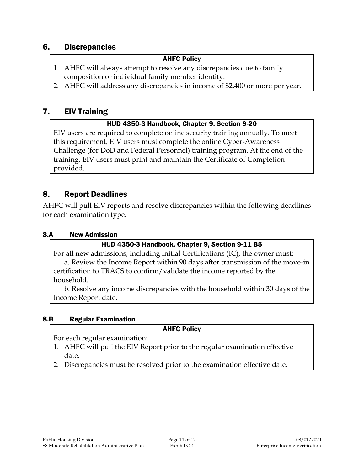### 6. Discrepancies

#### AHFC Policy

- 1. AHFC will always attempt to resolve any discrepancies due to family composition or individual family member identity.
- 2. AHFC will address any discrepancies in income of \$2,400 or more per year.

### 7. EIV Training

#### HUD 4350-3 Handbook, Chapter 9, Section 9-20

EIV users are required to complete online security training annually. To meet this requirement, EIV users must complete the online Cyber-Awareness Challenge (for DoD and Federal Personnel) training program. At the end of the training, EIV users must print and maintain the Certificate of Completion provided.

#### 8. Report Deadlines

AHFC will pull EIV reports and resolve discrepancies within the following deadlines for each examination type.

#### 8.A New Admission

#### HUD 4350-3 Handbook, Chapter 9, Section 9-11 B5

For all new admissions, including Initial Certifications (IC), the owner must: a. Review the Income Report within 90 days after transmission of the move-in certification to TRACS to confirm/validate the income reported by the household.

b. Resolve any income discrepancies with the household within 30 days of the Income Report date.

#### 8.B Regular Examination

#### AHFC Policy

For each regular examination:

- 1. AHFC will pull the EIV Report prior to the regular examination effective date.
- 2. Discrepancies must be resolved prior to the examination effective date.